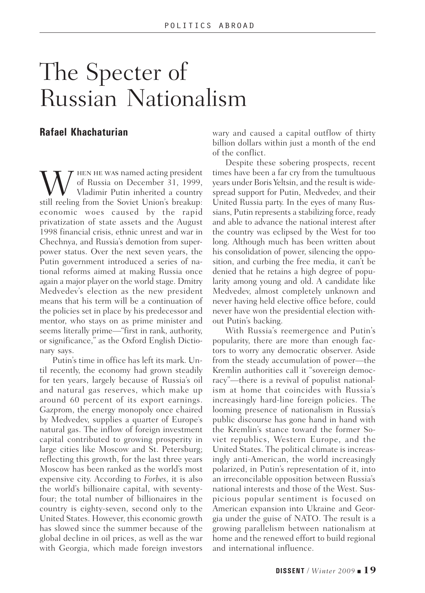## The Specter of Russian Nationalism

## **Rafael Khachaturian**

 $\tau$  hen he was named acting president of Russia on December 31, 1999, Vladimir Putin inherited a country **W** of Russia on December 31, 1999,<br>Vladimir Putin inherited a country<br>still reeling from the Soviet Union's breakup: economic woes caused by the rapid privatization of state assets and the August 1998 financial crisis, ethnic unrest and war in Chechnya, and Russia's demotion from superpower status. Over the next seven years, the Putin government introduced a series of national reforms aimed at making Russia once again a major player on the world stage. Dmitry Medvedev's election as the new president means that his term will be a continuation of the policies set in place by his predecessor and mentor, who stays on as prime minister and seems literally prime—"first in rank, authority, or significance," as the Oxford English Dictionary says.

Putin's time in office has left its mark. Until recently, the economy had grown steadily for ten years, largely because of Russia's oil and natural gas reserves, which make up around 60 percent of its export earnings. Gazprom, the energy monopoly once chaired by Medvedev, supplies a quarter of Europe's natural gas. The inflow of foreign investment capital contributed to growing prosperity in large cities like Moscow and St. Petersburg; reflecting this growth, for the last three years Moscow has been ranked as the world's most expensive city. According to *Forbes*, it is also the world's billionaire capital, with seventyfour; the total number of billionaires in the country is eighty-seven, second only to the United States. However, this economic growth has slowed since the summer because of the global decline in oil prices, as well as the war with Georgia, which made foreign investors wary and caused a capital outflow of thirty billion dollars within just a month of the end of the conflict.

Despite these sobering prospects, recent times have been a far cry from the tumultuous years under Boris Yeltsin, and the result is widespread support for Putin, Medvedev, and their United Russia party. In the eyes of many Russians, Putin represents a stabilizing force, ready and able to advance the national interest after the country was eclipsed by the West for too long. Although much has been written about his consolidation of power, silencing the opposition, and curbing the free media, it can't be denied that he retains a high degree of popularity among young and old. A candidate like Medvedev, almost completely unknown and never having held elective office before, could never have won the presidential election without Putin's backing.

With Russia's reemergence and Putin's popularity, there are more than enough factors to worry any democratic observer. Aside from the steady accumulation of power—the Kremlin authorities call it "sovereign democracy"—there is a revival of populist nationalism at home that coincides with Russia's increasingly hard-line foreign policies. The looming presence of nationalism in Russia's public discourse has gone hand in hand with the Kremlin's stance toward the former Soviet republics, Western Europe, and the United States. The political climate is increasingly anti-American, the world increasingly polarized, in Putin's representation of it, into an irreconcilable opposition between Russia's national interests and those of the West. Suspicious popular sentiment is focused on American expansion into Ukraine and Georgia under the guise of NATO. The result is a growing parallelism between nationalism at home and the renewed effort to build regional and international influence.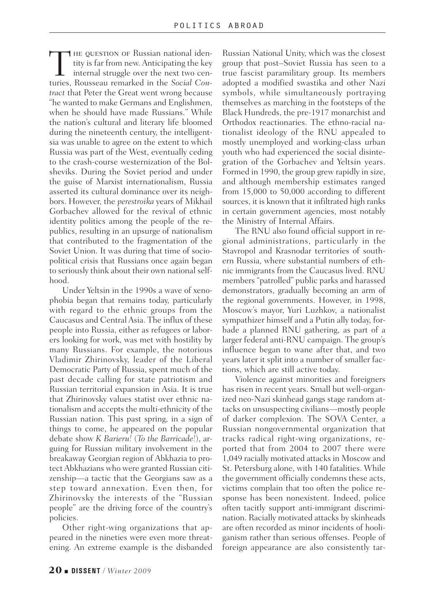HE QUESTION OF Russian national identity is far from new. Anticipating the key internal struggle over the next two cen-THE QUESTION OF Russian national identity is far from new. Anticipating the key internal struggle over the next two centuries, Rousseau remarked in the *Social Contract* that Peter the Great went wrong because "he wanted to make Germans and Englishmen, when he should have made Russians." While the nation's cultural and literary life bloomed during the nineteenth century, the intelligentsia was unable to agree on the extent to which Russia was part of the West, eventually ceding to the crash-course westernization of the Bolsheviks. During the Soviet period and under the guise of Marxist internationalism, Russia asserted its cultural dominance over its neighbors. However, the *perestroika* years of Mikhail Gorbachev allowed for the revival of ethnic identity politics among the people of the republics, resulting in an upsurge of nationalism that contributed to the fragmentation of the Soviet Union. It was during that time of sociopolitical crisis that Russians once again began to seriously think about their own national selfhood.

Under Yeltsin in the 1990s a wave of xenophobia began that remains today, particularly with regard to the ethnic groups from the Caucasus and Central Asia. The influx of these people into Russia, either as refugees or laborers looking for work, was met with hostility by many Russians. For example, the notorious Vladimir Zhirinovsky, leader of the Liberal Democratic Party of Russia, spent much of the past decade calling for state patriotism and Russian territorial expansion in Asia. It is true that Zhirinovsky values statist over ethnic nationalism and accepts the multi-ethnicity of the Russian nation. This past spring, in a sign of things to come, he appeared on the popular debate show *K Barieru!* (*To the Barricade!*), arguing for Russian military involvement in the breakaway Georgian region of Abkhazia to protect Abkhazians who were granted Russian citizenship—a tactic that the Georgians saw as a step toward annexation. Even then, for Zhirinovsky the interests of the "Russian people" are the driving force of the country's policies.

Other right-wing organizations that appeared in the nineties were even more threatening. An extreme example is the disbanded

Russian National Unity, which was the closest group that post–Soviet Russia has seen to a true fascist paramilitary group. Its members adopted a modified swastika and other Nazi symbols, while simultaneously portraying themselves as marching in the footsteps of the Black Hundreds, the pre-1917 monarchist and Orthodox reactionaries. The ethno-racial nationalist ideology of the RNU appealed to mostly unemployed and working-class urban youth who had experienced the social disintegration of the Gorbachev and Yeltsin years. Formed in 1990, the group grew rapidly in size, and although membership estimates ranged from 15,000 to 50,000 according to different sources, it is known that it infiltrated high ranks in certain government agencies, most notably the Ministry of Internal Affairs.

The RNU also found official support in regional administrations, particularly in the Stavropol and Krasnodar territories of southern Russia, where substantial numbers of ethnic immigrants from the Caucasus lived. RNU members "patrolled" public parks and harassed demonstrators, gradually becoming an arm of the regional governments. However, in 1998, Moscow's mayor, Yuri Luzhkov, a nationalist sympathizer himself and a Putin ally today, forbade a planned RNU gathering, as part of a larger federal anti-RNU campaign. The group's influence began to wane after that, and two years later it split into a number of smaller factions, which are still active today.

Violence against minorities and foreigners has risen in recent years. Small but well-organized neo-Nazi skinhead gangs stage random attacks on unsuspecting civilians—mostly people of darker complexion. The SOVA Center, a Russian nongovernmental organization that tracks radical right-wing organizations, reported that from 2004 to 2007 there were 1,049 racially motivated attacks in Moscow and St. Petersburg alone, with 140 fatalities. While the government officially condemns these acts, victims complain that too often the police response has been nonexistent. Indeed, police often tacitly support anti-immigrant discrimination. Racially motivated attacks by skinheads are often recorded as minor incidents of hooliganism rather than serious offenses. People of foreign appearance are also consistently tar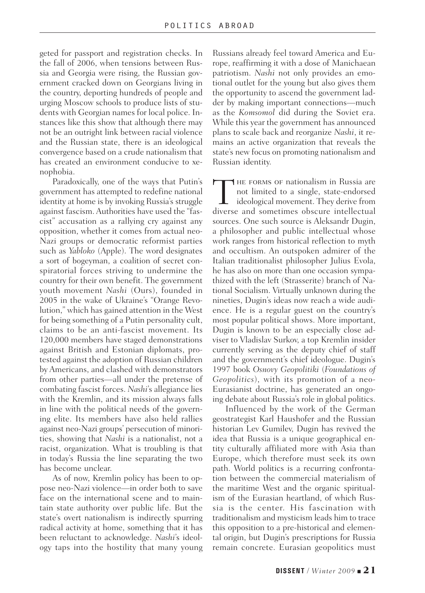geted for passport and registration checks. In the fall of 2006, when tensions between Russia and Georgia were rising, the Russian government cracked down on Georgians living in the country, deporting hundreds of people and urging Moscow schools to produce lists of students with Georgian names for local police. Instances like this show that although there may not be an outright link between racial violence and the Russian state, there is an ideological convergence based on a crude nationalism that has created an environment conducive to xenophobia.

Paradoxically, one of the ways that Putin's government has attempted to redefine national identity at home is by invoking Russia's struggle against fascism. Authorities have used the "fascist" accusation as a rallying cry against any opposition, whether it comes from actual neo-Nazi groups or democratic reformist parties such as *Yabloko* (Apple). The word designates a sort of bogeyman, a coalition of secret conspiratorial forces striving to undermine the country for their own benefit. The government youth movement *Nashi* (Ours), founded in 2005 in the wake of Ukraine's "Orange Revolution," which has gained attention in the West for being something of a Putin personality cult, claims to be an anti-fascist movement. Its 120,000 members have staged demonstrations against British and Estonian diplomats, protested against the adoption of Russian children by Americans, and clashed with demonstrators from other parties—all under the pretense of combating fascist forces. *Nashi*'s allegiance lies with the Kremlin, and its mission always falls in line with the political needs of the governing elite. Its members have also held rallies against neo-Nazi groups' persecution of minorities, showing that *Nashi* is a nationalist, not a racist, organization. What is troubling is that in today's Russia the line separating the two has become unclear.

As of now, Kremlin policy has been to oppose neo-Nazi violence—in order both to save face on the international scene and to maintain state authority over public life. But the state's overt nationalism is indirectly spurring radical activity at home, something that it has been reluctant to acknowledge. *Nashi*'s ideology taps into the hostility that many young Russians already feel toward America and Europe, reaffirming it with a dose of Manichaean patriotism. *Nashi* not only provides an emotional outlet for the young but also gives them the opportunity to ascend the government ladder by making important connections—much as the *Komsomol* did during the Soviet era. While this year the government has announced plans to scale back and reorganize *Nashi*, it remains an active organization that reveals the state's new focus on promoting nationalism and Russian identity.

HE FORMS OF nationalism in Russia are not limited to a single, state-endorsed ideological movement. They derive from THE FORMS OF nationalism in Russia are<br>not limited to a single, state-endorsed<br>ideological movement. They derive from<br>diverse and sometimes obscure intellectual sources. One such source is Aleksandr Dugin, a philosopher and public intellectual whose work ranges from historical reflection to myth and occultism. An outspoken admirer of the Italian traditionalist philosopher Julius Evola, he has also on more than one occasion sympathized with the left (Strasserite) branch of National Socialism. Virtually unknown during the nineties, Dugin's ideas now reach a wide audience. He is a regular guest on the country's most popular political shows. More important, Dugin is known to be an especially close adviser to Vladislav Surkov, a top Kremlin insider currently serving as the deputy chief of staff and the government's chief ideologue. Dugin's 1997 book *Osnovy Geopolitiki* (*Foundations of Geopolitics*), with its promotion of a neo-Eurasianist doctrine, has generated an ongoing debate about Russia's role in global politics.

Influenced by the work of the German geostrategist Karl Haushofer and the Russian historian Lev Gumilev, Dugin has revived the idea that Russia is a unique geographical entity culturally affiliated more with Asia than Europe, which therefore must seek its own path. World politics is a recurring confrontation between the commercial materialism of the maritime West and the organic spiritualism of the Eurasian heartland, of which Russia is the center. His fascination with traditionalism and mysticism leads him to trace this opposition to a pre-historical and elemental origin, but Dugin's prescriptions for Russia remain concrete. Eurasian geopolitics must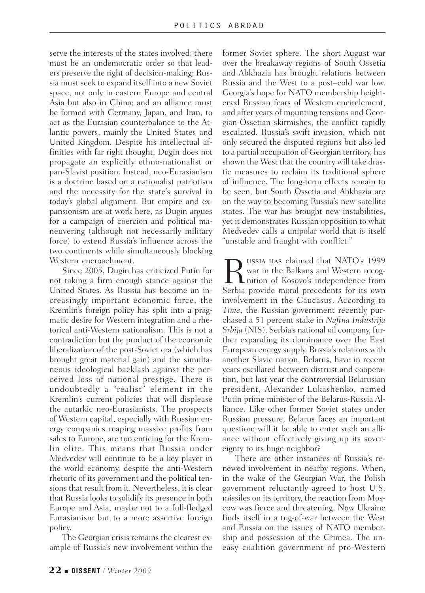serve the interests of the states involved; there must be an undemocratic order so that leaders preserve the right of decision-making; Russia must seek to expand itself into a new Soviet space, not only in eastern Europe and central Asia but also in China; and an alliance must be formed with Germany, Japan, and Iran, to act as the Eurasian counterbalance to the Atlantic powers, mainly the United States and United Kingdom. Despite his intellectual affinities with far right thought, Dugin does not propagate an explicitly ethno-nationalist or pan-Slavist position. Instead, neo-Eurasianism is a doctrine based on a nationalist patriotism and the necessity for the state's survival in today's global alignment. But empire and expansionism are at work here, as Dugin argues for a campaign of coercion and political maneuvering (although not necessarily military force) to extend Russia's influence across the two continents while simultaneously blocking Western encroachment.

Since 2005, Dugin has criticized Putin for not taking a firm enough stance against the United States. As Russia has become an increasingly important economic force, the Kremlin's foreign policy has split into a pragmatic desire for Western integration and a rhetorical anti-Western nationalism. This is not a contradiction but the product of the economic liberalization of the post-Soviet era (which has brought great material gain) and the simultaneous ideological backlash against the perceived loss of national prestige. There is undoubtedly a "realist" element in the Kremlin's current policies that will displease the autarkic neo-Eurasianists. The prospects of Western capital, especially with Russian energy companies reaping massive profits from sales to Europe, are too enticing for the Kremlin elite. This means that Russia under Medvedev will continue to be a key player in the world economy, despite the anti-Western rhetoric of its government and the political tensions that result from it. Nevertheless, it is clear that Russia looks to solidify its presence in both Europe and Asia, maybe not to a full-fledged Eurasianism but to a more assertive foreign policy.

The Georgian crisis remains the clearest example of Russia's new involvement within the former Soviet sphere. The short August war over the breakaway regions of South Ossetia and Abkhazia has brought relations between Russia and the West to a post–cold war low. Georgia's hope for NATO membership heightened Russian fears of Western encirclement, and after years of mounting tensions and Georgian-Ossetian skirmishes, the conflict rapidly escalated. Russia's swift invasion, which not only secured the disputed regions but also led to a partial occupation of Georgian territory, has shown the West that the country will take drastic measures to reclaim its traditional sphere of influence. The long-term effects remain to be seen, but South Ossetia and Abkhazia are on the way to becoming Russia's new satellite states. The war has brought new instabilities, yet it demonstrates Russian opposition to what Medvedev calls a unipolar world that is itself "unstable and fraught with conflict."

ussia has claimed that NATO's 1999 war in the Balkans and Western recognition of Kosovo's independence from Serbia provide moral precedents for its own involvement in the Caucasus. According to *Time*, the Russian government recently purchased a 51 percent stake in *Naftna Industrija Srbija* (NIS), Serbia's national oil company, further expanding its dominance over the East European energy supply. Russia's relations with another Slavic nation, Belarus, have in recent years oscillated between distrust and cooperation, but last year the controversial Belarusian president, Alexander Lukashenko, named Putin prime minister of the Belarus-Russia Alliance. Like other former Soviet states under Russian pressure, Belarus faces an important question: will it be able to enter such an alliance without effectively giving up its sovereignty to its huge neighbor? R<br>Serbia

There are other instances of Russia's renewed involvement in nearby regions. When, in the wake of the Georgian War, the Polish government reluctantly agreed to host U.S. missiles on its territory, the reaction from Moscow was fierce and threatening. Now Ukraine finds itself in a tug-of-war between the West and Russia on the issues of NATO membership and possession of the Crimea. The uneasy coalition government of pro-Western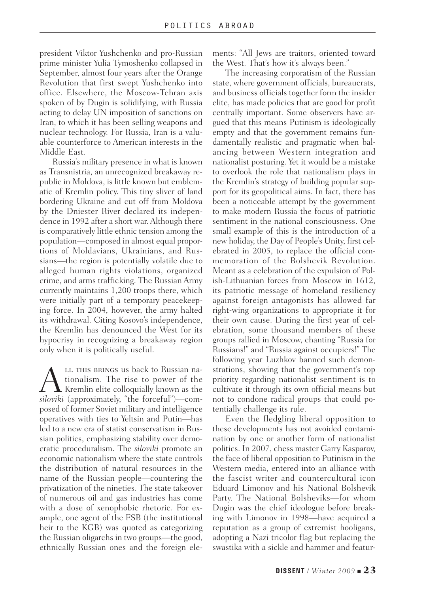president Viktor Yushchenko and pro-Russian prime minister Yulia Tymoshenko collapsed in September, almost four years after the Orange Revolution that first swept Yushchenko into office. Elsewhere, the Moscow-Tehran axis spoken of by Dugin is solidifying, with Russia acting to delay UN imposition of sanctions on Iran, to which it has been selling weapons and nuclear technology. For Russia, Iran is a valuable counterforce to American interests in the Middle East.

Russia's military presence in what is known as Transnistria, an unrecognized breakaway republic in Moldova, is little known but emblematic of Kremlin policy. This tiny sliver of land bordering Ukraine and cut off from Moldova by the Dniester River declared its independence in 1992 after a short war. Although there is comparatively little ethnic tension among the population—composed in almost equal proportions of Moldavians, Ukrainians, and Russians—the region is potentially volatile due to alleged human rights violations, organized crime, and arms trafficking. The Russian Army currently maintains 1,200 troops there, which were initially part of a temporary peacekeeping force. In 2004, however, the army halted its withdrawal. Citing Kosovo's independence, the Kremlin has denounced the West for its hypocrisy in recognizing a breakaway region only when it is politically useful.

LL THIS BRINGS us back to Russian nationalism. The rise to power of the Kremlin elite colloquially known as the **ALL THIS BRINGS US back to Russian nationalism.** The rise to power of the Kremlin elite colloquially known as the *siloviki* (approximately, "the forceful")—composed of former Soviet military and intelligence operatives with ties to Yeltsin and Putin—has led to a new era of statist conservatism in Russian politics, emphasizing stability over democratic proceduralism. The *siloviki* promote an economic nationalism where the state controls the distribution of natural resources in the name of the Russian people—countering the privatization of the nineties. The state takeover of numerous oil and gas industries has come with a dose of xenophobic rhetoric. For example, one agent of the FSB (the institutional heir to the KGB) was quoted as categorizing the Russian oligarchs in two groups—the good, ethnically Russian ones and the foreign elements: "All Jews are traitors, oriented toward the West. That's how it's always been."

The increasing corporatism of the Russian state, where government officials, bureaucrats, and business officials together form the insider elite, has made policies that are good for profit centrally important. Some observers have argued that this means Putinism is ideologically empty and that the government remains fundamentally realistic and pragmatic when balancing between Western integration and nationalist posturing. Yet it would be a mistake to overlook the role that nationalism plays in the Kremlin's strategy of building popular support for its geopolitical aims. In fact, there has been a noticeable attempt by the government to make modern Russia the focus of patriotic sentiment in the national consciousness. One small example of this is the introduction of a new holiday, the Day of People's Unity, first celebrated in 2005, to replace the official commemoration of the Bolshevik Revolution. Meant as a celebration of the expulsion of Polish-Lithuanian forces from Moscow in 1612, its patriotic message of homeland resiliency against foreign antagonists has allowed far right-wing organizations to appropriate it for their own cause. During the first year of celebration, some thousand members of these groups rallied in Moscow, chanting "Russia for Russians!" and "Russia against occupiers!" The following year Luzhkov banned such demonstrations, showing that the government's top priority regarding nationalist sentiment is to cultivate it through its own official means but not to condone radical groups that could potentially challenge its rule.

Even the fledgling liberal opposition to these developments has not avoided contamination by one or another form of nationalist politics. In 2007, chess master Garry Kasparov, the face of liberal opposition to Putinism in the Western media, entered into an alliance with the fascist writer and countercultural icon Eduard Limonov and his National Bolshevik Party. The National Bolsheviks—for whom Dugin was the chief ideologue before breaking with Limonov in 1998—have acquired a reputation as a group of extremist hooligans, adopting a Nazi tricolor flag but replacing the swastika with a sickle and hammer and featur